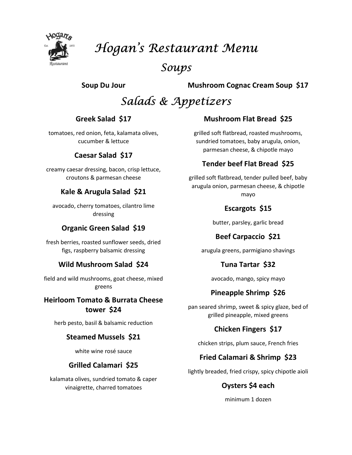

# Hogan's Restaurant Menu

# Soups

Soup Du Jour Mushroom Cognac Cream Soup \$17

# Salads & Appetizers

# Greek Salad \$17

tomatoes, red onion, feta, kalamata olives, cucumber & lettuce

# Caesar Salad \$17

creamy caesar dressing, bacon, crisp lettuce, croutons & parmesan cheese

# Kale & Arugula Salad \$21

avocado, cherry tomatoes, cilantro lime dressing

# Organic Green Salad \$19

fresh berries, roasted sunflower seeds, dried figs, raspberry balsamic dressing

# Wild Mushroom Salad \$24

field and wild mushrooms, goat cheese, mixed greens

#### Heirloom Tomato & Burrata Cheese tower \$24

herb pesto, basil & balsamic reduction

# Steamed Mussels \$21

white wine rosé sauce

# Grilled Calamari \$25

kalamata olives, sundried tomato & caper vinaigrette, charred tomatoes

#### Mushroom Flat Bread \$25

grilled soft flatbread, roasted mushrooms, sundried tomatoes, baby arugula, onion, parmesan cheese, & chipotle mayo

# Tender beef Flat Bread \$25

grilled soft flatbread, tender pulled beef, baby arugula onion, parmesan cheese, & chipotle mayo

# Escargots \$15

butter, parsley, garlic bread

# Beef Carpaccio \$21

arugula greens, parmigiano shavings

#### Tuna Tartar \$32

avocado, mango, spicy mayo

# Pineapple Shrimp \$26

pan seared shrimp, sweet & spicy glaze, bed of grilled pineapple, mixed greens

# Chicken Fingers \$17

chicken strips, plum sauce, French fries

# Fried Calamari & Shrimp \$23

lightly breaded, fried crispy, spicy chipotle aioli

# Oysters \$4 each

minimum 1 dozen